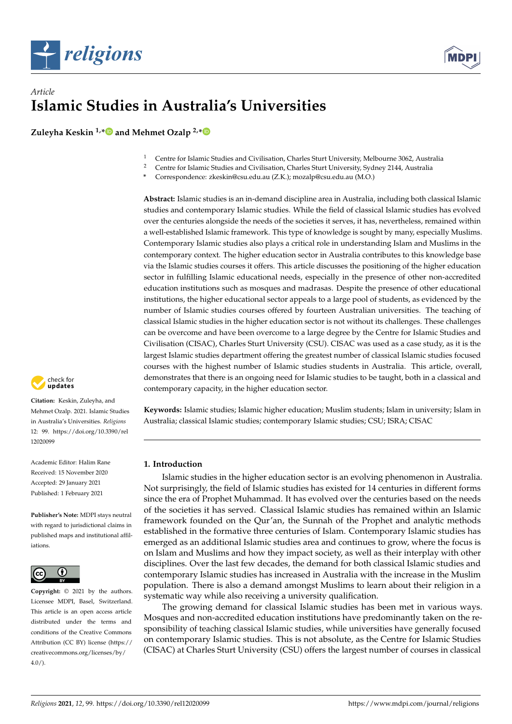



# *Article* **Islamic Studies in Australia's Universities**

**Zuleyha Keskin 1,[\\*](https://orcid.org/0000-0002-0756-4402) and Mehmet Ozalp 2,[\\*](https://orcid.org/0000-0002-5804-9451)**

- <sup>1</sup> Centre for Islamic Studies and Civilisation, Charles Sturt University, Melbourne 3062, Australia<br><sup>2</sup> Centre for Islamic Studies and Civilisation, Charles Sturt University, Sydney 2144, Australia
- <sup>2</sup> Centre for Islamic Studies and Civilisation, Charles Sturt University, Sydney 2144, Australia
- **\*** Correspondence: zkeskin@csu.edu.au (Z.K.); mozalp@csu.edu.au (M.O.)

**Abstract:** Islamic studies is an in-demand discipline area in Australia, including both classical Islamic studies and contemporary Islamic studies. While the field of classical Islamic studies has evolved over the centuries alongside the needs of the societies it serves, it has, nevertheless, remained within a well-established Islamic framework. This type of knowledge is sought by many, especially Muslims. Contemporary Islamic studies also plays a critical role in understanding Islam and Muslims in the contemporary context. The higher education sector in Australia contributes to this knowledge base via the Islamic studies courses it offers. This article discusses the positioning of the higher education sector in fulfilling Islamic educational needs, especially in the presence of other non-accredited education institutions such as mosques and madrasas. Despite the presence of other educational institutions, the higher educational sector appeals to a large pool of students, as evidenced by the number of Islamic studies courses offered by fourteen Australian universities. The teaching of classical Islamic studies in the higher education sector is not without its challenges. These challenges can be overcome and have been overcome to a large degree by the Centre for Islamic Studies and Civilisation (CISAC), Charles Sturt University (CSU). CISAC was used as a case study, as it is the largest Islamic studies department offering the greatest number of classical Islamic studies focused courses with the highest number of Islamic studies students in Australia. This article, overall, demonstrates that there is an ongoing need for Islamic studies to be taught, both in a classical and contemporary capacity, in the higher education sector.

**Keywords:** Islamic studies; Islamic higher education; Muslim students; Islam in university; Islam in Australia; classical Islamic studies; contemporary Islamic studies; CSU; ISRA; CISAC

## **1. Introduction**

Islamic studies in the higher education sector is an evolving phenomenon in Australia. Not surprisingly, the field of Islamic studies has existed for 14 centuries in different forms since the era of Prophet Muhammad. It has evolved over the centuries based on the needs of the societies it has served. Classical Islamic studies has remained within an Islamic framework founded on the Qur'an, the Sunnah of the Prophet and analytic methods established in the formative three centuries of Islam. Contemporary Islamic studies has emerged as an additional Islamic studies area and continues to grow, where the focus is on Islam and Muslims and how they impact society, as well as their interplay with other disciplines. Over the last few decades, the demand for both classical Islamic studies and contemporary Islamic studies has increased in Australia with the increase in the Muslim population. There is also a demand amongst Muslims to learn about their religion in a systematic way while also receiving a university qualification.

The growing demand for classical Islamic studies has been met in various ways. Mosques and non-accredited education institutions have predominantly taken on the responsibility of teaching classical Islamic studies, while universities have generally focused on contemporary Islamic studies. This is not absolute, as the Centre for Islamic Studies (CISAC) at Charles Sturt University (CSU) offers the largest number of courses in classical



**Citation:** Keskin, Zuleyha, and Mehmet Ozalp. 2021. Islamic Studies in Australia's Universities. *Religions* 12: 99. [https://doi.org/10.3390/rel](https://doi.org/10.3390/rel12020099) [12020099](https://doi.org/10.3390/rel12020099)

Academic Editor: Halim Rane Received: 15 November 2020 Accepted: 29 January 2021 Published: 1 February 2021

**Publisher's Note:** MDPI stays neutral with regard to jurisdictional claims in published maps and institutional affiliations.



**Copyright:** © 2021 by the authors. Licensee MDPI, Basel, Switzerland. This article is an open access article distributed under the terms and conditions of the Creative Commons Attribution (CC BY) license (https:/[/](https://creativecommons.org/licenses/by/4.0/) [creativecommons.org/licenses/by/](https://creativecommons.org/licenses/by/4.0/)  $4.0/$ ).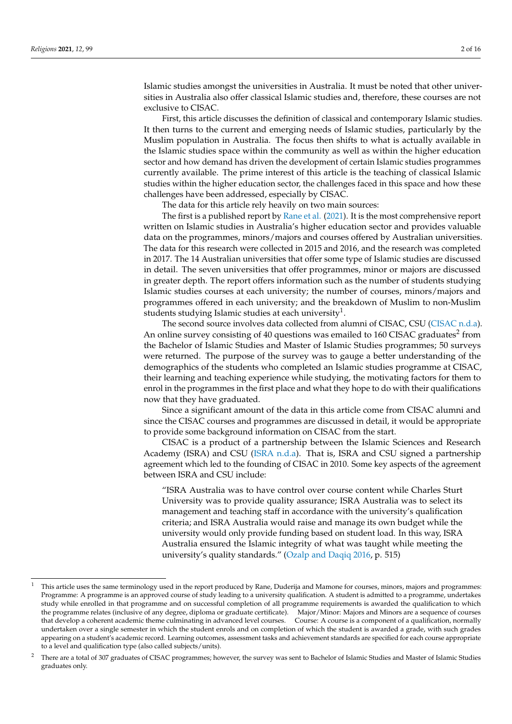Islamic studies amongst the universities in Australia. It must be noted that other universities in Australia also offer classical Islamic studies and, therefore, these courses are not exclusive to CISAC.

First, this article discusses the definition of classical and contemporary Islamic studies. It then turns to the current and emerging needs of Islamic studies, particularly by the Muslim population in Australia. The focus then shifts to what is actually available in the Islamic studies space within the community as well as within the higher education sector and how demand has driven the development of certain Islamic studies programmes currently available. The prime interest of this article is the teaching of classical Islamic studies within the higher education sector, the challenges faced in this space and how these challenges have been addressed, especially by CISAC.

The data for this article rely heavily on two main sources:

The first is a published report by [Rane et al.](#page-15-0) [\(2021\)](#page-15-0). It is the most comprehensive report written on Islamic studies in Australia's higher education sector and provides valuable data on the programmes, minors/majors and courses offered by Australian universities. The data for this research were collected in 2015 and 2016, and the research was completed in 2017. The 14 Australian universities that offer some type of Islamic studies are discussed in detail. The seven universities that offer programmes, minor or majors are discussed in greater depth. The report offers information such as the number of students studying Islamic studies courses at each university; the number of courses, minors/majors and programmes offered in each university; and the breakdown of Muslim to non-Muslim students studying Islamic studies at each university $^{1}.$ 

The second source involves data collected from alumni of CISAC, CSU [\(CISAC](#page-14-0) [n.d.a\)](#page-14-0). An online survey consisting of 40 questions was emailed to 160 CISAC graduates<sup>2</sup> from the Bachelor of Islamic Studies and Master of Islamic Studies programmes; 50 surveys were returned. The purpose of the survey was to gauge a better understanding of the demographics of the students who completed an Islamic studies programme at CISAC, their learning and teaching experience while studying, the motivating factors for them to enrol in the programmes in the first place and what they hope to do with their qualifications now that they have graduated.

Since a significant amount of the data in this article come from CISAC alumni and since the CISAC courses and programmes are discussed in detail, it would be appropriate to provide some background information on CISAC from the start.

CISAC is a product of a partnership between the Islamic Sciences and Research Academy (ISRA) and CSU [\(ISRA](#page-14-1) [n.d.a\)](#page-14-1). That is, ISRA and CSU signed a partnership agreement which led to the founding of CISAC in 2010. Some key aspects of the agreement between ISRA and CSU include:

"ISRA Australia was to have control over course content while Charles Sturt University was to provide quality assurance; ISRA Australia was to select its management and teaching staff in accordance with the university's qualification criteria; and ISRA Australia would raise and manage its own budget while the university would only provide funding based on student load. In this way, ISRA Australia ensured the Islamic integrity of what was taught while meeting the university's quality standards." [\(Ozalp and Daqiq](#page-15-1) [2016,](#page-15-1) p. 515)

<sup>1</sup> This article uses the same terminology used in the report produced by Rane, Duderija and Mamone for courses, minors, majors and programmes: Programme: A programme is an approved course of study leading to a university qualification. A student is admitted to a programme, undertakes study while enrolled in that programme and on successful completion of all programme requirements is awarded the qualification to which the programme relates (inclusive of any degree, diploma or graduate certificate). Major/Minor: Majors and Minors are a sequence of courses that develop a coherent academic theme culminating in advanced level courses. Course: A course is a component of a qualification, normally undertaken over a single semester in which the student enrols and on completion of which the student is awarded a grade, with such grades appearing on a student's academic record. Learning outcomes, assessment tasks and achievement standards are specified for each course appropriate to a level and qualification type (also called subjects/units).

<sup>2</sup> There are a total of 307 graduates of CISAC programmes; however, the survey was sent to Bachelor of Islamic Studies and Master of Islamic Studies graduates only.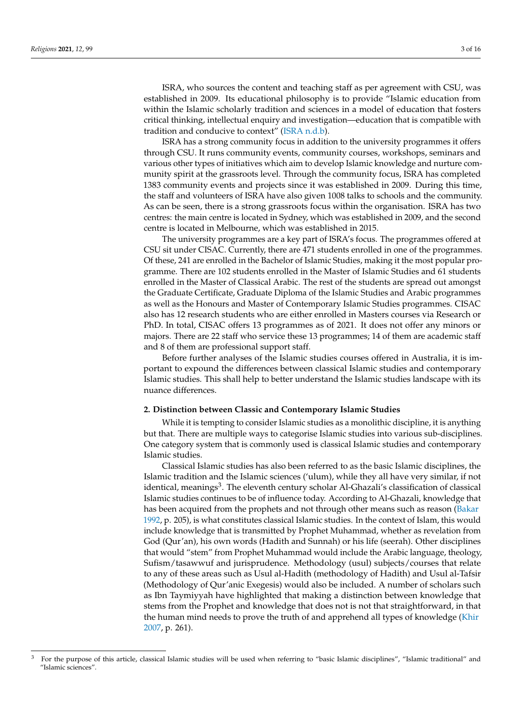ISRA, who sources the content and teaching staff as per agreement with CSU, was established in 2009. Its educational philosophy is to provide "Islamic education from within the Islamic scholarly tradition and sciences in a model of education that fosters critical thinking, intellectual enquiry and investigation—education that is compatible with tradition and conducive to context" [\(ISRA](#page-14-2) [n.d.b\)](#page-14-2).

ISRA has a strong community focus in addition to the university programmes it offers through CSU. It runs community events, community courses, workshops, seminars and various other types of initiatives which aim to develop Islamic knowledge and nurture community spirit at the grassroots level. Through the community focus, ISRA has completed 1383 community events and projects since it was established in 2009. During this time, the staff and volunteers of ISRA have also given 1008 talks to schools and the community. As can be seen, there is a strong grassroots focus within the organisation. ISRA has two centres: the main centre is located in Sydney, which was established in 2009, and the second centre is located in Melbourne, which was established in 2015.

The university programmes are a key part of ISRA's focus. The programmes offered at CSU sit under CISAC. Currently, there are 471 students enrolled in one of the programmes. Of these, 241 are enrolled in the Bachelor of Islamic Studies, making it the most popular programme. There are 102 students enrolled in the Master of Islamic Studies and 61 students enrolled in the Master of Classical Arabic. The rest of the students are spread out amongst the Graduate Certificate, Graduate Diploma of the Islamic Studies and Arabic programmes as well as the Honours and Master of Contemporary Islamic Studies programmes. CISAC also has 12 research students who are either enrolled in Masters courses via Research or PhD. In total, CISAC offers 13 programmes as of 2021. It does not offer any minors or majors. There are 22 staff who service these 13 programmes; 14 of them are academic staff and 8 of them are professional support staff.

Before further analyses of the Islamic studies courses offered in Australia, it is important to expound the differences between classical Islamic studies and contemporary Islamic studies. This shall help to better understand the Islamic studies landscape with its nuance differences.

#### **2. Distinction between Classic and Contemporary Islamic Studies**

While it is tempting to consider Islamic studies as a monolithic discipline, it is anything but that. There are multiple ways to categorise Islamic studies into various sub-disciplines. One category system that is commonly used is classical Islamic studies and contemporary Islamic studies.

Classical Islamic studies has also been referred to as the basic Islamic disciplines, the Islamic tradition and the Islamic sciences ('ulum), while they all have very similar, if not identical, meanings<sup>3</sup>. The eleventh century scholar Al-Ghazali's classification of classical Islamic studies continues to be of influence today. According to Al-Ghazali, knowledge that has been acquired from the prophets and not through other means such as reason [\(Bakar](#page-14-3) [1992,](#page-14-3) p. 205), is what constitutes classical Islamic studies. In the context of Islam, this would include knowledge that is transmitted by Prophet Muhammad, whether as revelation from God (Qur'an), his own words (Hadith and Sunnah) or his life (seerah). Other disciplines that would "stem" from Prophet Muhammad would include the Arabic language, theology, Sufism/tasawwuf and jurisprudence. Methodology (usul) subjects/courses that relate to any of these areas such as Usul al-Hadith (methodology of Hadith) and Usul al-Tafsir (Methodology of Qur'anic Exegesis) would also be included. A number of scholars such as Ibn Taymiyyah have highlighted that making a distinction between knowledge that stems from the Prophet and knowledge that does not is not that straightforward, in that the human mind needs to prove the truth of and apprehend all types of knowledge [\(Khir](#page-14-4) [2007,](#page-14-4) p. 261).

<sup>3</sup> For the purpose of this article, classical Islamic studies will be used when referring to "basic Islamic disciplines", "Islamic traditional" and "Islamic sciences".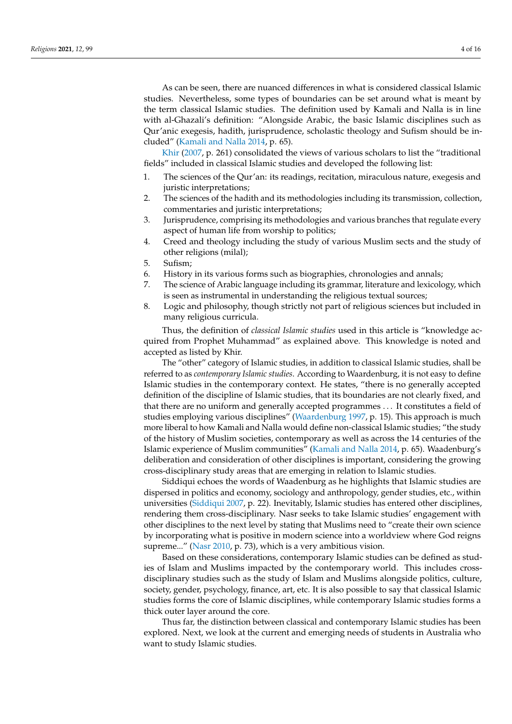As can be seen, there are nuanced differences in what is considered classical Islamic studies. Nevertheless, some types of boundaries can be set around what is meant by the term classical Islamic studies. The definition used by Kamali and Nalla is in line with al-Ghazali's definition: "Alongside Arabic, the basic Islamic disciplines such as Qur'anic exegesis, hadith, jurisprudence, scholastic theology and Sufism should be included" [\(Kamali and Nalla](#page-14-5) [2014,](#page-14-5) p. 65).

[Khir](#page-14-4) [\(2007,](#page-14-4) p. 261) consolidated the views of various scholars to list the "traditional fields" included in classical Islamic studies and developed the following list:

- 1. The sciences of the Qur'an: its readings, recitation, miraculous nature, exegesis and juristic interpretations;
- 2. The sciences of the hadith and its methodologies including its transmission, collection, commentaries and juristic interpretations;
- 3. Jurisprudence, comprising its methodologies and various branches that regulate every aspect of human life from worship to politics;
- 4. Creed and theology including the study of various Muslim sects and the study of other religions (milal);
- 5. Sufism;
- 6. History in its various forms such as biographies, chronologies and annals;
- 7. The science of Arabic language including its grammar, literature and lexicology, which is seen as instrumental in understanding the religious textual sources;
- 8. Logic and philosophy, though strictly not part of religious sciences but included in many religious curricula.

Thus, the definition of *classical Islamic studies* used in this article is "knowledge acquired from Prophet Muhammad" as explained above. This knowledge is noted and accepted as listed by Khir.

The "other" category of Islamic studies, in addition to classical Islamic studies, shall be referred to as *contemporary Islamic studies*. According to Waardenburg, it is not easy to define Islamic studies in the contemporary context. He states, "there is no generally accepted definition of the discipline of Islamic studies, that its boundaries are not clearly fixed, and that there are no uniform and generally accepted programmes . . . It constitutes a field of studies employing various disciplines" [\(Waardenburg](#page-15-2) [1997,](#page-15-2) p. 15). This approach is much more liberal to how Kamali and Nalla would define non-classical Islamic studies; "the study of the history of Muslim societies, contemporary as well as across the 14 centuries of the Islamic experience of Muslim communities" [\(Kamali and Nalla](#page-14-5) [2014,](#page-14-5) p. 65). Waadenburg's deliberation and consideration of other disciplines is important, considering the growing cross-disciplinary study areas that are emerging in relation to Islamic studies.

Siddiqui echoes the words of Waadenburg as he highlights that Islamic studies are dispersed in politics and economy, sociology and anthropology, gender studies, etc., within universities [\(Siddiqui](#page-15-3) [2007,](#page-15-3) p. 22). Inevitably, Islamic studies has entered other disciplines, rendering them cross-disciplinary. Nasr seeks to take Islamic studies' engagement with other disciplines to the next level by stating that Muslims need to "create their own science by incorporating what is positive in modern science into a worldview where God reigns supreme..." [\(Nasr](#page-14-6) [2010,](#page-14-6) p. 73), which is a very ambitious vision.

Based on these considerations, contemporary Islamic studies can be defined as studies of Islam and Muslims impacted by the contemporary world. This includes crossdisciplinary studies such as the study of Islam and Muslims alongside politics, culture, society, gender, psychology, finance, art, etc. It is also possible to say that classical Islamic studies forms the core of Islamic disciplines, while contemporary Islamic studies forms a thick outer layer around the core.

Thus far, the distinction between classical and contemporary Islamic studies has been explored. Next, we look at the current and emerging needs of students in Australia who want to study Islamic studies.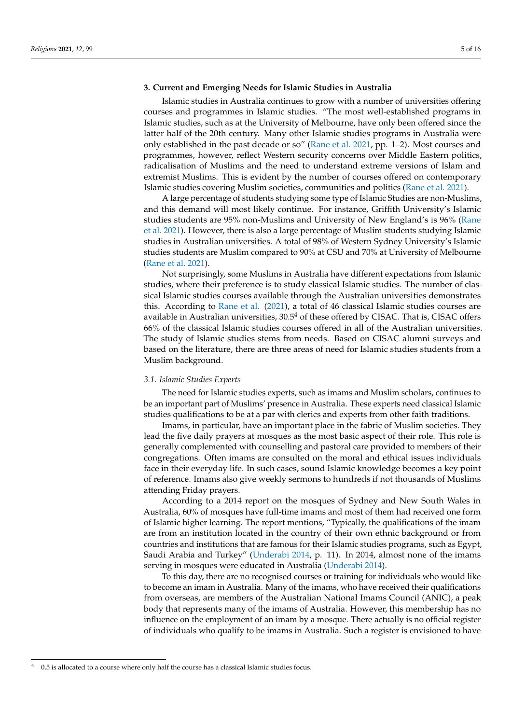## **3. Current and Emerging Needs for Islamic Studies in Australia**

Islamic studies in Australia continues to grow with a number of universities offering courses and programmes in Islamic studies. "The most well-established programs in Islamic studies, such as at the University of Melbourne, have only been offered since the latter half of the 20th century. Many other Islamic studies programs in Australia were only established in the past decade or so" [\(Rane et al.](#page-15-0) [2021,](#page-15-0) pp. 1–2). Most courses and programmes, however, reflect Western security concerns over Middle Eastern politics, radicalisation of Muslims and the need to understand extreme versions of Islam and extremist Muslims. This is evident by the number of courses offered on contemporary Islamic studies covering Muslim societies, communities and politics [\(Rane et al.](#page-15-0) [2021\)](#page-15-0).

A large percentage of students studying some type of Islamic Studies are non-Muslims, and this demand will most likely continue. For instance, Griffith University's Islamic studies students are 95% non-Muslims and University of New England's is 96% [\(Rane](#page-15-0) [et al.](#page-15-0) [2021\)](#page-15-0). However, there is also a large percentage of Muslim students studying Islamic studies in Australian universities. A total of 98% of Western Sydney University's Islamic studies students are Muslim compared to 90% at CSU and 70% at University of Melbourne [\(Rane et al.](#page-15-0) [2021\)](#page-15-0).

Not surprisingly, some Muslims in Australia have different expectations from Islamic studies, where their preference is to study classical Islamic studies. The number of classical Islamic studies courses available through the Australian universities demonstrates this. According to [Rane et al.](#page-15-0) [\(2021\)](#page-15-0), a total of 46 classical Islamic studies courses are available in Australian universities,  $30.5<sup>4</sup>$  of these offered by CISAC. That is, CISAC offers 66% of the classical Islamic studies courses offered in all of the Australian universities. The study of Islamic studies stems from needs. Based on CISAC alumni surveys and based on the literature, there are three areas of need for Islamic studies students from a Muslim background.

#### *3.1. Islamic Studies Experts*

The need for Islamic studies experts, such as imams and Muslim scholars, continues to be an important part of Muslims' presence in Australia. These experts need classical Islamic studies qualifications to be at a par with clerics and experts from other faith traditions.

Imams, in particular, have an important place in the fabric of Muslim societies. They lead the five daily prayers at mosques as the most basic aspect of their role. This role is generally complemented with counselling and pastoral care provided to members of their congregations. Often imams are consulted on the moral and ethical issues individuals face in their everyday life. In such cases, sound Islamic knowledge becomes a key point of reference. Imams also give weekly sermons to hundreds if not thousands of Muslims attending Friday prayers.

According to a 2014 report on the mosques of Sydney and New South Wales in Australia, 60% of mosques have full-time imams and most of them had received one form of Islamic higher learning. The report mentions, "Typically, the qualifications of the imam are from an institution located in the country of their own ethnic background or from countries and institutions that are famous for their Islamic studies programs, such as Egypt, Saudi Arabia and Turkey" [\(Underabi](#page-15-4) [2014,](#page-15-4) p. 11). In 2014, almost none of the imams serving in mosques were educated in Australia [\(Underabi](#page-15-4) [2014\)](#page-15-4).

To this day, there are no recognised courses or training for individuals who would like to become an imam in Australia. Many of the imams, who have received their qualifications from overseas, are members of the Australian National Imams Council (ANIC), a peak body that represents many of the imams of Australia. However, this membership has no influence on the employment of an imam by a mosque. There actually is no official register of individuals who qualify to be imams in Australia. Such a register is envisioned to have

<sup>4</sup> 0.5 is allocated to a course where only half the course has a classical Islamic studies focus.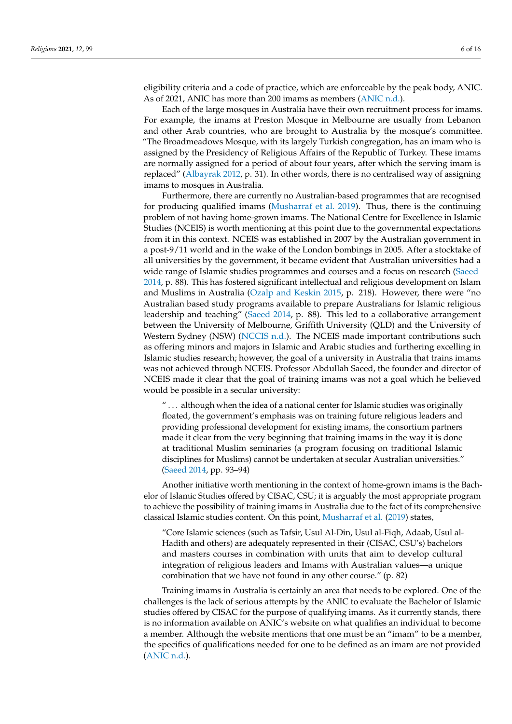eligibility criteria and a code of practice, which are enforceable by the peak body, ANIC. As of 2021, ANIC has more than 200 imams as members [\(ANIC](#page-14-7) [n.d.\)](#page-14-7).

Each of the large mosques in Australia have their own recruitment process for imams. For example, the imams at Preston Mosque in Melbourne are usually from Lebanon and other Arab countries, who are brought to Australia by the mosque's committee. "The Broadmeadows Mosque, with its largely Turkish congregation, has an imam who is assigned by the Presidency of Religious Affairs of the Republic of Turkey. These imams are normally assigned for a period of about four years, after which the serving imam is replaced" [\(Albayrak](#page-14-8) [2012,](#page-14-8) p. 31). In other words, there is no centralised way of assigning imams to mosques in Australia.

Furthermore, there are currently no Australian-based programmes that are recognised for producing qualified imams [\(Musharraf et al.](#page-14-9) [2019\)](#page-14-9). Thus, there is the continuing problem of not having home-grown imams. The National Centre for Excellence in Islamic Studies (NCEIS) is worth mentioning at this point due to the governmental expectations from it in this context. NCEIS was established in 2007 by the Australian government in a post-9/11 world and in the wake of the London bombings in 2005. After a stocktake of all universities by the government, it became evident that Australian universities had a wide range of Islamic studies programmes and courses and a focus on research [\(Saeed](#page-15-5) [2014,](#page-15-5) p. 88). This has fostered significant intellectual and religious development on Islam and Muslims in Australia [\(Ozalp and Keskin](#page-15-6) [2015,](#page-15-6) p. 218). However, there were "no Australian based study programs available to prepare Australians for Islamic religious leadership and teaching" [\(Saeed](#page-15-5) [2014,](#page-15-5) p. 88). This led to a collaborative arrangement between the University of Melbourne, Griffith University (QLD) and the University of Western Sydney (NSW) [\(NCCIS](#page-14-10) [n.d.\)](#page-14-10). The NCEIS made important contributions such as offering minors and majors in Islamic and Arabic studies and furthering excelling in Islamic studies research; however, the goal of a university in Australia that trains imams was not achieved through NCEIS. Professor Abdullah Saeed, the founder and director of NCEIS made it clear that the goal of training imams was not a goal which he believed would be possible in a secular university:

 $\ldots$  although when the idea of a national center for Islamic studies was originally floated, the government's emphasis was on training future religious leaders and providing professional development for existing imams, the consortium partners made it clear from the very beginning that training imams in the way it is done at traditional Muslim seminaries (a program focusing on traditional Islamic disciplines for Muslims) cannot be undertaken at secular Australian universities." [\(Saeed](#page-15-5) [2014,](#page-15-5) pp. 93–94)

Another initiative worth mentioning in the context of home-grown imams is the Bachelor of Islamic Studies offered by CISAC, CSU; it is arguably the most appropriate program to achieve the possibility of training imams in Australia due to the fact of its comprehensive classical Islamic studies content. On this point, [Musharraf et al.](#page-14-9) [\(2019\)](#page-14-9) states,

"Core Islamic sciences (such as Tafsir, Usul Al-Din, Usul al-Fiqh, Adaab, Usul al-Hadith and others) are adequately represented in their (CISAC, CSU's) bachelors and masters courses in combination with units that aim to develop cultural integration of religious leaders and Imams with Australian values—a unique combination that we have not found in any other course." (p. 82)

Training imams in Australia is certainly an area that needs to be explored. One of the challenges is the lack of serious attempts by the ANIC to evaluate the Bachelor of Islamic studies offered by CISAC for the purpose of qualifying imams. As it currently stands, there is no information available on ANIC's website on what qualifies an individual to become a member. Although the website mentions that one must be an "imam" to be a member, the specifics of qualifications needed for one to be defined as an imam are not provided [\(ANIC](#page-14-7) [n.d.\)](#page-14-7).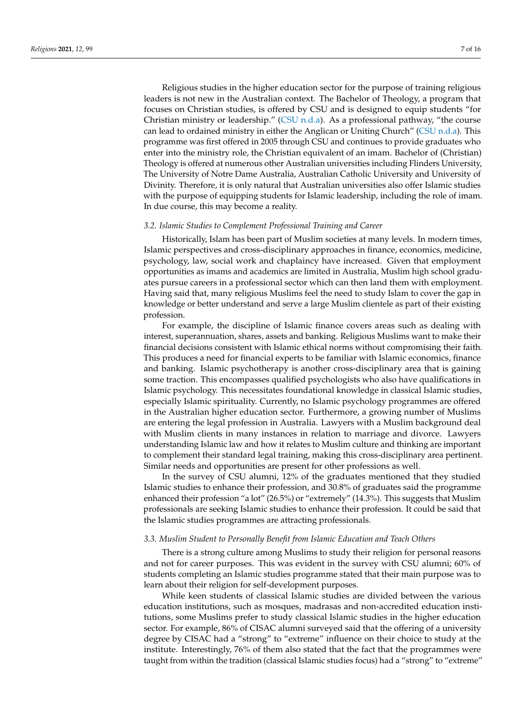Religious studies in the higher education sector for the purpose of training religious leaders is not new in the Australian context. The Bachelor of Theology, a program that focuses on Christian studies, is offered by CSU and is designed to equip students "for Christian ministry or leadership." [\(CSU](#page-14-11) [n.d.a\)](#page-14-11). As a professional pathway, "the course can lead to ordained ministry in either the Anglican or Uniting Church" [\(CSU](#page-14-11) [n.d.a\)](#page-14-11). This programme was first offered in 2005 through CSU and continues to provide graduates who enter into the ministry role, the Christian equivalent of an imam. Bachelor of (Christian) Theology is offered at numerous other Australian universities including Flinders University, The University of Notre Dame Australia, Australian Catholic University and University of Divinity. Therefore, it is only natural that Australian universities also offer Islamic studies with the purpose of equipping students for Islamic leadership, including the role of imam. In due course, this may become a reality.

#### *3.2. Islamic Studies to Complement Professional Training and Career*

Historically, Islam has been part of Muslim societies at many levels. In modern times, Islamic perspectives and cross-disciplinary approaches in finance, economics, medicine, psychology, law, social work and chaplaincy have increased. Given that employment opportunities as imams and academics are limited in Australia, Muslim high school graduates pursue careers in a professional sector which can then land them with employment. Having said that, many religious Muslims feel the need to study Islam to cover the gap in knowledge or better understand and serve a large Muslim clientele as part of their existing profession.

For example, the discipline of Islamic finance covers areas such as dealing with interest, superannuation, shares, assets and banking. Religious Muslims want to make their financial decisions consistent with Islamic ethical norms without compromising their faith. This produces a need for financial experts to be familiar with Islamic economics, finance and banking. Islamic psychotherapy is another cross-disciplinary area that is gaining some traction. This encompasses qualified psychologists who also have qualifications in Islamic psychology. This necessitates foundational knowledge in classical Islamic studies, especially Islamic spirituality. Currently, no Islamic psychology programmes are offered in the Australian higher education sector. Furthermore, a growing number of Muslims are entering the legal profession in Australia. Lawyers with a Muslim background deal with Muslim clients in many instances in relation to marriage and divorce. Lawyers understanding Islamic law and how it relates to Muslim culture and thinking are important to complement their standard legal training, making this cross-disciplinary area pertinent. Similar needs and opportunities are present for other professions as well.

In the survey of CSU alumni, 12% of the graduates mentioned that they studied Islamic studies to enhance their profession, and 30.8% of graduates said the programme enhanced their profession "a lot" (26.5%) or "extremely" (14.3%). This suggests that Muslim professionals are seeking Islamic studies to enhance their profession. It could be said that the Islamic studies programmes are attracting professionals.

## *3.3. Muslim Student to Personally Benefit from Islamic Education and Teach Others*

There is a strong culture among Muslims to study their religion for personal reasons and not for career purposes. This was evident in the survey with CSU alumni; 60% of students completing an Islamic studies programme stated that their main purpose was to learn about their religion for self-development purposes.

While keen students of classical Islamic studies are divided between the various education institutions, such as mosques, madrasas and non-accredited education institutions, some Muslims prefer to study classical Islamic studies in the higher education sector. For example, 86% of CISAC alumni surveyed said that the offering of a university degree by CISAC had a "strong" to "extreme" influence on their choice to study at the institute. Interestingly, 76% of them also stated that the fact that the programmes were taught from within the tradition (classical Islamic studies focus) had a "strong" to "extreme"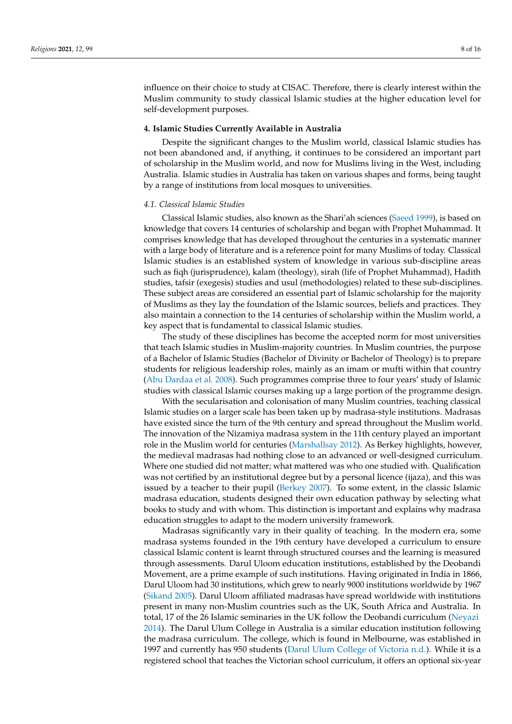influence on their choice to study at CISAC. Therefore, there is clearly interest within the Muslim community to study classical Islamic studies at the higher education level for self-development purposes.

#### **4. Islamic Studies Currently Available in Australia**

Despite the significant changes to the Muslim world, classical Islamic studies has not been abandoned and, if anything, it continues to be considered an important part of scholarship in the Muslim world, and now for Muslims living in the West, including Australia. Islamic studies in Australia has taken on various shapes and forms, being taught by a range of institutions from local mosques to universities.

### *4.1. Classical Islamic Studies*

Classical Islamic studies, also known as the Shari'ah sciences [\(Saeed](#page-15-7) [1999\)](#page-15-7), is based on knowledge that covers 14 centuries of scholarship and began with Prophet Muhammad. It comprises knowledge that has developed throughout the centuries in a systematic manner with a large body of literature and is a reference point for many Muslims of today. Classical Islamic studies is an established system of knowledge in various sub-discipline areas such as fiqh (jurisprudence), kalam (theology), sirah (life of Prophet Muhammad), Hadith studies, tafsir (exegesis) studies and usul (methodologies) related to these sub-disciplines. These subject areas are considered an essential part of Islamic scholarship for the majority of Muslims as they lay the foundation of the Islamic sources, beliefs and practices. They also maintain a connection to the 14 centuries of scholarship within the Muslim world, a key aspect that is fundamental to classical Islamic studies.

The study of these disciplines has become the accepted norm for most universities that teach Islamic studies in Muslim-majority countries. In Muslim countries, the purpose of a Bachelor of Islamic Studies (Bachelor of Divinity or Bachelor of Theology) is to prepare students for religious leadership roles, mainly as an imam or mufti within that country [\(Abu Dardaa et al.](#page-14-12) [2008\)](#page-14-12). Such programmes comprise three to four years' study of Islamic studies with classical Islamic courses making up a large portion of the programme design.

With the secularisation and colonisation of many Muslim countries, teaching classical Islamic studies on a larger scale has been taken up by madrasa-style institutions. Madrasas have existed since the turn of the 9th century and spread throughout the Muslim world. The innovation of the Nizamiya madrasa system in the 11th century played an important role in the Muslim world for centuries [\(Marshallsay](#page-14-13) [2012\)](#page-14-13). As Berkey highlights, however, the medieval madrasas had nothing close to an advanced or well-designed curriculum. Where one studied did not matter; what mattered was who one studied with. Qualification was not certified by an institutional degree but by a personal licence (ijaza), and this was issued by a teacher to their pupil [\(Berkey](#page-14-14) [2007\)](#page-14-14). To some extent, in the classic Islamic madrasa education, students designed their own education pathway by selecting what books to study and with whom. This distinction is important and explains why madrasa education struggles to adapt to the modern university framework.

Madrasas significantly vary in their quality of teaching. In the modern era, some madrasa systems founded in the 19th century have developed a curriculum to ensure classical Islamic content is learnt through structured courses and the learning is measured through assessments. Darul Uloom education institutions, established by the Deobandi Movement, are a prime example of such institutions. Having originated in India in 1866, Darul Uloom had 30 institutions, which grew to nearly 9000 institutions worldwide by 1967 [\(Sikand](#page-15-8) [2005\)](#page-15-8). Darul Uloom affiliated madrasas have spread worldwide with institutions present in many non-Muslim countries such as the UK, South Africa and Australia. In total, 17 of the 26 Islamic seminaries in the UK follow the Deobandi curriculum [\(Neyazi](#page-15-9) [2014\)](#page-15-9). The Darul Ulum College in Australia is a similar education institution following the madrasa curriculum. The college, which is found in Melbourne, was established in 1997 and currently has 950 students [\(Darul Ulum College of Victoria](#page-14-15) [n.d.\)](#page-14-15). While it is a registered school that teaches the Victorian school curriculum, it offers an optional six-year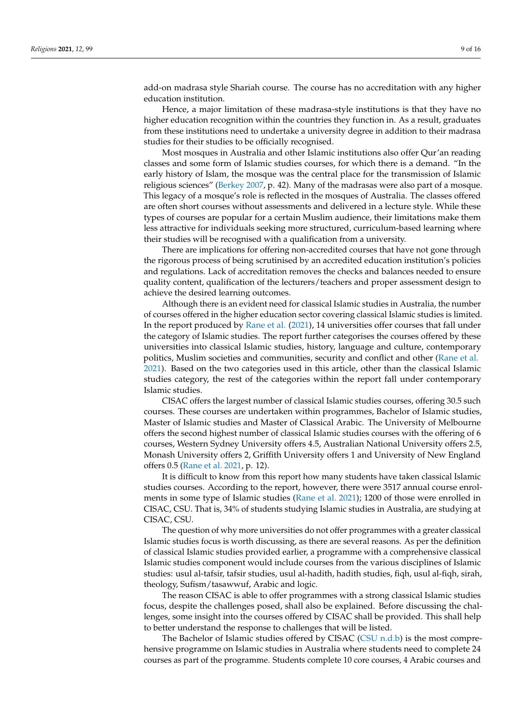add-on madrasa style Shariah course. The course has no accreditation with any higher education institution.

Hence, a major limitation of these madrasa-style institutions is that they have no higher education recognition within the countries they function in. As a result, graduates from these institutions need to undertake a university degree in addition to their madrasa studies for their studies to be officially recognised.

Most mosques in Australia and other Islamic institutions also offer Qur'an reading classes and some form of Islamic studies courses, for which there is a demand. "In the early history of Islam, the mosque was the central place for the transmission of Islamic religious sciences" [\(Berkey](#page-14-14) [2007,](#page-14-14) p. 42). Many of the madrasas were also part of a mosque. This legacy of a mosque's role is reflected in the mosques of Australia. The classes offered are often short courses without assessments and delivered in a lecture style. While these types of courses are popular for a certain Muslim audience, their limitations make them less attractive for individuals seeking more structured, curriculum-based learning where their studies will be recognised with a qualification from a university.

There are implications for offering non-accredited courses that have not gone through the rigorous process of being scrutinised by an accredited education institution's policies and regulations. Lack of accreditation removes the checks and balances needed to ensure quality content, qualification of the lecturers/teachers and proper assessment design to achieve the desired learning outcomes.

Although there is an evident need for classical Islamic studies in Australia, the number of courses offered in the higher education sector covering classical Islamic studies is limited. In the report produced by [Rane et al.](#page-15-0) [\(2021\)](#page-15-0), 14 universities offer courses that fall under the category of Islamic studies. The report further categorises the courses offered by these universities into classical Islamic studies, history, language and culture, contemporary politics, Muslim societies and communities, security and conflict and other [\(Rane et al.](#page-15-0) [2021\)](#page-15-0). Based on the two categories used in this article, other than the classical Islamic studies category, the rest of the categories within the report fall under contemporary Islamic studies.

CISAC offers the largest number of classical Islamic studies courses, offering 30.5 such courses. These courses are undertaken within programmes, Bachelor of Islamic studies, Master of Islamic studies and Master of Classical Arabic. The University of Melbourne offers the second highest number of classical Islamic studies courses with the offering of 6 courses, Western Sydney University offers 4.5, Australian National University offers 2.5, Monash University offers 2, Griffith University offers 1 and University of New England offers 0.5 [\(Rane et al.](#page-15-0) [2021,](#page-15-0) p. 12).

It is difficult to know from this report how many students have taken classical Islamic studies courses. According to the report, however, there were 3517 annual course enrolments in some type of Islamic studies [\(Rane et al.](#page-15-0) [2021\)](#page-15-0); 1200 of those were enrolled in CISAC, CSU. That is, 34% of students studying Islamic studies in Australia, are studying at CISAC, CSU.

The question of why more universities do not offer programmes with a greater classical Islamic studies focus is worth discussing, as there are several reasons. As per the definition of classical Islamic studies provided earlier, a programme with a comprehensive classical Islamic studies component would include courses from the various disciplines of Islamic studies: usul al-tafsir, tafsir studies, usul al-hadith, hadith studies, fiqh, usul al-fiqh, sirah, theology, Sufism/tasawwuf, Arabic and logic.

The reason CISAC is able to offer programmes with a strong classical Islamic studies focus, despite the challenges posed, shall also be explained. Before discussing the challenges, some insight into the courses offered by CISAC shall be provided. This shall help to better understand the response to challenges that will be listed.

The Bachelor of Islamic studies offered by CISAC [\(CSU](#page-14-16) [n.d.b\)](#page-14-16) is the most comprehensive programme on Islamic studies in Australia where students need to complete 24 courses as part of the programme. Students complete 10 core courses, 4 Arabic courses and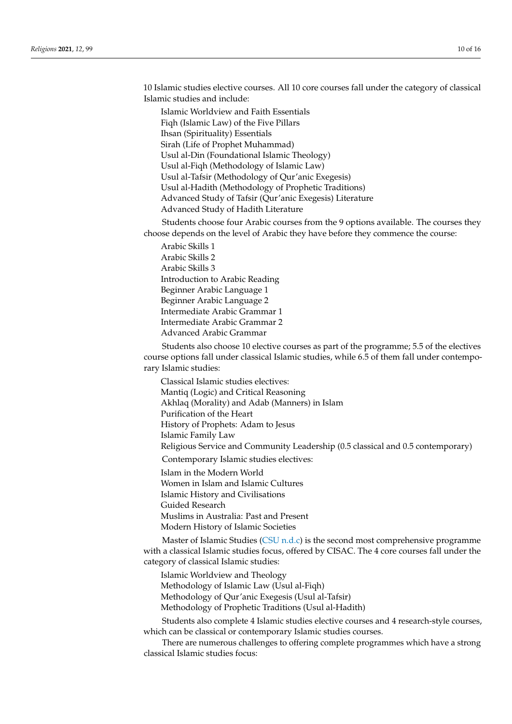10 Islamic studies elective courses. All 10 core courses fall under the category of classical Islamic studies and include:

Islamic Worldview and Faith Essentials Fiqh (Islamic Law) of the Five Pillars Ihsan (Spirituality) Essentials Sirah (Life of Prophet Muhammad) Usul al-Din (Foundational Islamic Theology) Usul al-Fiqh (Methodology of Islamic Law) Usul al-Tafsir (Methodology of Qur'anic Exegesis) Usul al-Hadith (Methodology of Prophetic Traditions) Advanced Study of Tafsir (Qur'anic Exegesis) Literature Advanced Study of Hadith Literature

Students choose four Arabic courses from the 9 options available. The courses they choose depends on the level of Arabic they have before they commence the course:

Arabic Skills 1 Arabic Skills 2 Arabic Skills 3 Introduction to Arabic Reading Beginner Arabic Language 1 Beginner Arabic Language 2 Intermediate Arabic Grammar 1 Intermediate Arabic Grammar 2 Advanced Arabic Grammar

Students also choose 10 elective courses as part of the programme; 5.5 of the electives course options fall under classical Islamic studies, while 6.5 of them fall under contemporary Islamic studies:

Classical Islamic studies electives: Mantiq (Logic) and Critical Reasoning Akhlaq (Morality) and Adab (Manners) in Islam Purification of the Heart History of Prophets: Adam to Jesus Islamic Family Law Religious Service and Community Leadership (0.5 classical and 0.5 contemporary) Contemporary Islamic studies electives:

Islam in the Modern World

Women in Islam and Islamic Cultures

Islamic History and Civilisations Guided Research

Muslims in Australia: Past and Present Modern History of Islamic Societies

Master of Islamic Studies [\(CSU](#page-14-17) [n.d.c\)](#page-14-17) is the second most comprehensive programme with a classical Islamic studies focus, offered by CISAC. The 4 core courses fall under the category of classical Islamic studies:

Islamic Worldview and Theology

Methodology of Islamic Law (Usul al-Fiqh)

Methodology of Qur'anic Exegesis (Usul al-Tafsir)

Methodology of Prophetic Traditions (Usul al-Hadith)

Students also complete 4 Islamic studies elective courses and 4 research-style courses, which can be classical or contemporary Islamic studies courses.

There are numerous challenges to offering complete programmes which have a strong classical Islamic studies focus: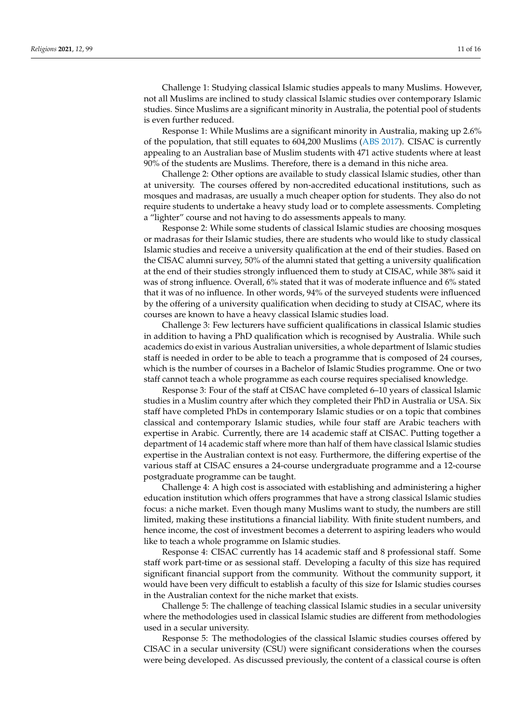Challenge 1: Studying classical Islamic studies appeals to many Muslims. However, not all Muslims are inclined to study classical Islamic studies over contemporary Islamic studies. Since Muslims are a significant minority in Australia, the potential pool of students is even further reduced.

Response 1: While Muslims are a significant minority in Australia, making up 2.6% of the population, that still equates to 604,200 Muslims [\(ABS](#page-14-18) [2017\)](#page-14-18). CISAC is currently appealing to an Australian base of Muslim students with 471 active students where at least 90% of the students are Muslims. Therefore, there is a demand in this niche area.

Challenge 2: Other options are available to study classical Islamic studies, other than at university. The courses offered by non-accredited educational institutions, such as mosques and madrasas, are usually a much cheaper option for students. They also do not require students to undertake a heavy study load or to complete assessments. Completing a "lighter" course and not having to do assessments appeals to many.

Response 2: While some students of classical Islamic studies are choosing mosques or madrasas for their Islamic studies, there are students who would like to study classical Islamic studies and receive a university qualification at the end of their studies. Based on the CISAC alumni survey, 50% of the alumni stated that getting a university qualification at the end of their studies strongly influenced them to study at CISAC, while 38% said it was of strong influence. Overall, 6% stated that it was of moderate influence and 6% stated that it was of no influence. In other words, 94% of the surveyed students were influenced by the offering of a university qualification when deciding to study at CISAC, where its courses are known to have a heavy classical Islamic studies load.

Challenge 3: Few lecturers have sufficient qualifications in classical Islamic studies in addition to having a PhD qualification which is recognised by Australia. While such academics do exist in various Australian universities, a whole department of Islamic studies staff is needed in order to be able to teach a programme that is composed of 24 courses, which is the number of courses in a Bachelor of Islamic Studies programme. One or two staff cannot teach a whole programme as each course requires specialised knowledge.

Response 3: Four of the staff at CISAC have completed 6–10 years of classical Islamic studies in a Muslim country after which they completed their PhD in Australia or USA. Six staff have completed PhDs in contemporary Islamic studies or on a topic that combines classical and contemporary Islamic studies, while four staff are Arabic teachers with expertise in Arabic. Currently, there are 14 academic staff at CISAC. Putting together a department of 14 academic staff where more than half of them have classical Islamic studies expertise in the Australian context is not easy. Furthermore, the differing expertise of the various staff at CISAC ensures a 24-course undergraduate programme and a 12-course postgraduate programme can be taught.

Challenge 4: A high cost is associated with establishing and administering a higher education institution which offers programmes that have a strong classical Islamic studies focus: a niche market. Even though many Muslims want to study, the numbers are still limited, making these institutions a financial liability. With finite student numbers, and hence income, the cost of investment becomes a deterrent to aspiring leaders who would like to teach a whole programme on Islamic studies.

Response 4: CISAC currently has 14 academic staff and 8 professional staff. Some staff work part-time or as sessional staff. Developing a faculty of this size has required significant financial support from the community. Without the community support, it would have been very difficult to establish a faculty of this size for Islamic studies courses in the Australian context for the niche market that exists.

Challenge 5: The challenge of teaching classical Islamic studies in a secular university where the methodologies used in classical Islamic studies are different from methodologies used in a secular university.

Response 5: The methodologies of the classical Islamic studies courses offered by CISAC in a secular university (CSU) were significant considerations when the courses were being developed. As discussed previously, the content of a classical course is often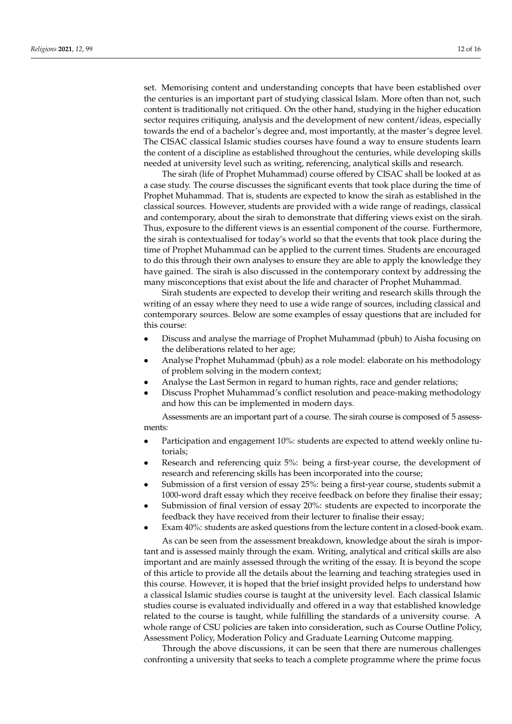set. Memorising content and understanding concepts that have been established over the centuries is an important part of studying classical Islam. More often than not, such content is traditionally not critiqued. On the other hand, studying in the higher education sector requires critiquing, analysis and the development of new content/ideas, especially towards the end of a bachelor's degree and, most importantly, at the master's degree level. The CISAC classical Islamic studies courses have found a way to ensure students learn the content of a discipline as established throughout the centuries, while developing skills needed at university level such as writing, referencing, analytical skills and research.

The sirah (life of Prophet Muhammad) course offered by CISAC shall be looked at as a case study. The course discusses the significant events that took place during the time of Prophet Muhammad. That is, students are expected to know the sirah as established in the classical sources. However, students are provided with a wide range of readings, classical and contemporary, about the sirah to demonstrate that differing views exist on the sirah. Thus, exposure to the different views is an essential component of the course. Furthermore, the sirah is contextualised for today's world so that the events that took place during the time of Prophet Muhammad can be applied to the current times. Students are encouraged to do this through their own analyses to ensure they are able to apply the knowledge they have gained. The sirah is also discussed in the contemporary context by addressing the many misconceptions that exist about the life and character of Prophet Muhammad.

Sirah students are expected to develop their writing and research skills through the writing of an essay where they need to use a wide range of sources, including classical and contemporary sources. Below are some examples of essay questions that are included for this course:

- Discuss and analyse the marriage of Prophet Muhammad (pbuh) to Aisha focusing on the deliberations related to her age;
- Analyse Prophet Muhammad (pbuh) as a role model: elaborate on his methodology of problem solving in the modern context;
- Analyse the Last Sermon in regard to human rights, race and gender relations;
- Discuss Prophet Muhammad's conflict resolution and peace-making methodology and how this can be implemented in modern days.

Assessments are an important part of a course. The sirah course is composed of 5 assessments:

- Participation and engagement 10%: students are expected to attend weekly online tutorials;
- Research and referencing quiz 5%: being a first-year course, the development of research and referencing skills has been incorporated into the course;
- Submission of a first version of essay 25%: being a first-year course, students submit a 1000-word draft essay which they receive feedback on before they finalise their essay;
- Submission of final version of essay 20%: students are expected to incorporate the feedback they have received from their lecturer to finalise their essay;
- Exam 40%: students are asked questions from the lecture content in a closed-book exam.

As can be seen from the assessment breakdown, knowledge about the sirah is important and is assessed mainly through the exam. Writing, analytical and critical skills are also important and are mainly assessed through the writing of the essay. It is beyond the scope of this article to provide all the details about the learning and teaching strategies used in this course. However, it is hoped that the brief insight provided helps to understand how a classical Islamic studies course is taught at the university level. Each classical Islamic studies course is evaluated individually and offered in a way that established knowledge related to the course is taught, while fulfilling the standards of a university course. A whole range of CSU policies are taken into consideration, such as Course Outline Policy, Assessment Policy, Moderation Policy and Graduate Learning Outcome mapping.

Through the above discussions, it can be seen that there are numerous challenges confronting a university that seeks to teach a complete programme where the prime focus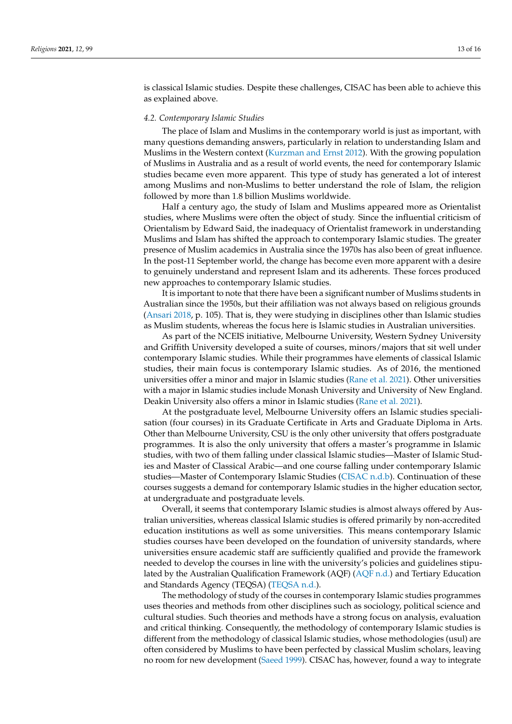is classical Islamic studies. Despite these challenges, CISAC has been able to achieve this as explained above.

## *4.2. Contemporary Islamic Studies*

The place of Islam and Muslims in the contemporary world is just as important, with many questions demanding answers, particularly in relation to understanding Islam and Muslims in the Western context [\(Kurzman and Ernst](#page-14-19) [2012\)](#page-14-19). With the growing population of Muslims in Australia and as a result of world events, the need for contemporary Islamic studies became even more apparent. This type of study has generated a lot of interest among Muslims and non-Muslims to better understand the role of Islam, the religion followed by more than 1.8 billion Muslims worldwide.

Half a century ago, the study of Islam and Muslims appeared more as Orientalist studies, where Muslims were often the object of study. Since the influential criticism of Orientalism by Edward Said, the inadequacy of Orientalist framework in understanding Muslims and Islam has shifted the approach to contemporary Islamic studies. The greater presence of Muslim academics in Australia since the 1970s has also been of great influence. In the post-11 September world, the change has become even more apparent with a desire to genuinely understand and represent Islam and its adherents. These forces produced new approaches to contemporary Islamic studies.

It is important to note that there have been a significant number of Muslims students in Australian since the 1950s, but their affiliation was not always based on religious grounds [\(Ansari](#page-14-20) [2018,](#page-14-20) p. 105). That is, they were studying in disciplines other than Islamic studies as Muslim students, whereas the focus here is Islamic studies in Australian universities.

As part of the NCEIS initiative, Melbourne University, Western Sydney University and Griffith University developed a suite of courses, minors/majors that sit well under contemporary Islamic studies. While their programmes have elements of classical Islamic studies, their main focus is contemporary Islamic studies. As of 2016, the mentioned universities offer a minor and major in Islamic studies [\(Rane et al.](#page-15-0) [2021\)](#page-15-0). Other universities with a major in Islamic studies include Monash University and University of New England. Deakin University also offers a minor in Islamic studies [\(Rane et al.](#page-15-0) [2021\)](#page-15-0).

At the postgraduate level, Melbourne University offers an Islamic studies specialisation (four courses) in its Graduate Certificate in Arts and Graduate Diploma in Arts. Other than Melbourne University, CSU is the only other university that offers postgraduate programmes. It is also the only university that offers a master's programme in Islamic studies, with two of them falling under classical Islamic studies—Master of Islamic Studies and Master of Classical Arabic—and one course falling under contemporary Islamic studies—Master of Contemporary Islamic Studies [\(CISAC](#page-14-21) [n.d.b\)](#page-14-21). Continuation of these courses suggests a demand for contemporary Islamic studies in the higher education sector, at undergraduate and postgraduate levels.

Overall, it seems that contemporary Islamic studies is almost always offered by Australian universities, whereas classical Islamic studies is offered primarily by non-accredited education institutions as well as some universities. This means contemporary Islamic studies courses have been developed on the foundation of university standards, where universities ensure academic staff are sufficiently qualified and provide the framework needed to develop the courses in line with the university's policies and guidelines stipulated by the Australian Qualification Framework (AQF) [\(AQF](#page-14-22) [n.d.\)](#page-14-22) and Tertiary Education and Standards Agency (TEQSA) [\(TEQSA](#page-15-10) [n.d.\)](#page-15-10).

The methodology of study of the courses in contemporary Islamic studies programmes uses theories and methods from other disciplines such as sociology, political science and cultural studies. Such theories and methods have a strong focus on analysis, evaluation and critical thinking. Consequently, the methodology of contemporary Islamic studies is different from the methodology of classical Islamic studies, whose methodologies (usul) are often considered by Muslims to have been perfected by classical Muslim scholars, leaving no room for new development [\(Saeed](#page-15-7) [1999\)](#page-15-7). CISAC has, however, found a way to integrate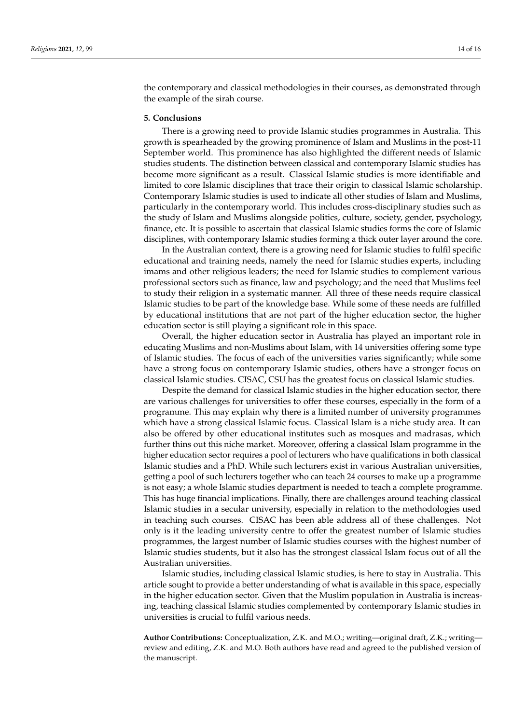the contemporary and classical methodologies in their courses, as demonstrated through the example of the sirah course.

## **5. Conclusions**

There is a growing need to provide Islamic studies programmes in Australia. This growth is spearheaded by the growing prominence of Islam and Muslims in the post-11 September world. This prominence has also highlighted the different needs of Islamic studies students. The distinction between classical and contemporary Islamic studies has become more significant as a result. Classical Islamic studies is more identifiable and limited to core Islamic disciplines that trace their origin to classical Islamic scholarship. Contemporary Islamic studies is used to indicate all other studies of Islam and Muslims, particularly in the contemporary world. This includes cross-disciplinary studies such as the study of Islam and Muslims alongside politics, culture, society, gender, psychology, finance, etc. It is possible to ascertain that classical Islamic studies forms the core of Islamic disciplines, with contemporary Islamic studies forming a thick outer layer around the core.

In the Australian context, there is a growing need for Islamic studies to fulfil specific educational and training needs, namely the need for Islamic studies experts, including imams and other religious leaders; the need for Islamic studies to complement various professional sectors such as finance, law and psychology; and the need that Muslims feel to study their religion in a systematic manner. All three of these needs require classical Islamic studies to be part of the knowledge base. While some of these needs are fulfilled by educational institutions that are not part of the higher education sector, the higher education sector is still playing a significant role in this space.

Overall, the higher education sector in Australia has played an important role in educating Muslims and non-Muslims about Islam, with 14 universities offering some type of Islamic studies. The focus of each of the universities varies significantly; while some have a strong focus on contemporary Islamic studies, others have a stronger focus on classical Islamic studies. CISAC, CSU has the greatest focus on classical Islamic studies.

Despite the demand for classical Islamic studies in the higher education sector, there are various challenges for universities to offer these courses, especially in the form of a programme. This may explain why there is a limited number of university programmes which have a strong classical Islamic focus. Classical Islam is a niche study area. It can also be offered by other educational institutes such as mosques and madrasas, which further thins out this niche market. Moreover, offering a classical Islam programme in the higher education sector requires a pool of lecturers who have qualifications in both classical Islamic studies and a PhD. While such lecturers exist in various Australian universities, getting a pool of such lecturers together who can teach 24 courses to make up a programme is not easy; a whole Islamic studies department is needed to teach a complete programme. This has huge financial implications. Finally, there are challenges around teaching classical Islamic studies in a secular university, especially in relation to the methodologies used in teaching such courses. CISAC has been able address all of these challenges. Not only is it the leading university centre to offer the greatest number of Islamic studies programmes, the largest number of Islamic studies courses with the highest number of Islamic studies students, but it also has the strongest classical Islam focus out of all the Australian universities.

Islamic studies, including classical Islamic studies, is here to stay in Australia. This article sought to provide a better understanding of what is available in this space, especially in the higher education sector. Given that the Muslim population in Australia is increasing, teaching classical Islamic studies complemented by contemporary Islamic studies in universities is crucial to fulfil various needs.

**Author Contributions:** Conceptualization, Z.K. and M.O.; writing—original draft, Z.K.; writing review and editing, Z.K. and M.O. Both authors have read and agreed to the published version of the manuscript.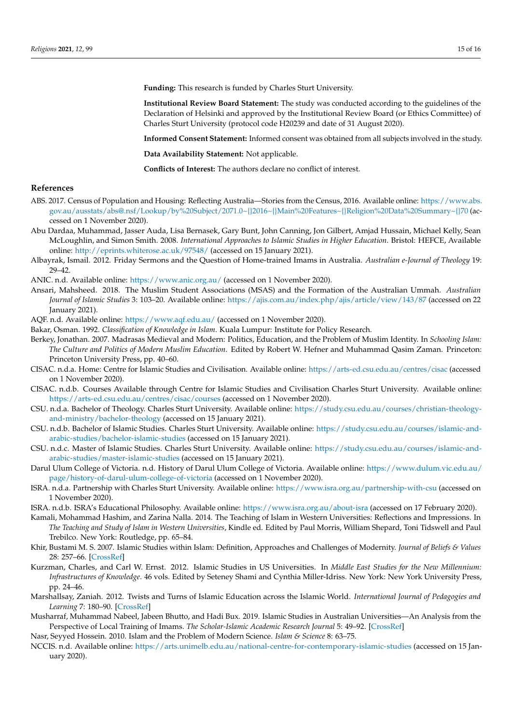**Funding:** This research is funded by Charles Sturt University.

**Institutional Review Board Statement:** The study was conducted according to the guidelines of the Declaration of Helsinki and approved by the Institutional Review Board (or Ethics Committee) of Charles Sturt University (protocol code H20239 and date of 31 August 2020).

**Informed Consent Statement:** Informed consent was obtained from all subjects involved in the study.

**Data Availability Statement:** Not applicable.

**Conflicts of Interest:** The authors declare no conflict of interest.

# **References**

- <span id="page-14-18"></span>ABS. 2017. Census of Population and Housing: Reflecting Australia—Stories from the Census, 2016. Available online: [https://www.abs.](https://www.abs.gov.au/ausstats/abs@.nsf/Lookup/by%20Subject/2071.0~{}2016~{}Main%20Features~{}Religion%20Data%20Summary~{}70) [gov.au/ausstats/abs@.nsf/Lookup/by%20Subject/2071.0~{}2016~{}Main%20Features~{}Religion%20Data%20Summary~{}70](https://www.abs.gov.au/ausstats/abs@.nsf/Lookup/by%20Subject/2071.0~{}2016~{}Main%20Features~{}Religion%20Data%20Summary~{}70) (accessed on 1 November 2020).
- <span id="page-14-12"></span>Abu Dardaa, Muhammad, Jasser Auda, Lisa Bernasek, Gary Bunt, John Canning, Jon Gilbert, Amjad Hussain, Michael Kelly, Sean McLoughlin, and Simon Smith. 2008. *International Approaches to Islamic Studies in Higher Education*. Bristol: HEFCE, Available online: <http://eprints.whiterose.ac.uk/97548/> (accessed on 15 January 2021).
- <span id="page-14-8"></span>Albayrak, Ismail. 2012. Friday Sermons and the Question of Home-trained Imams in Australia. *Australian e-Journal of Theology* 19: 29–42.

<span id="page-14-7"></span>ANIC. n.d. Available online: <https://www.anic.org.au/> (accessed on 1 November 2020).

<span id="page-14-20"></span>Ansari, Mahsheed. 2018. The Muslim Student Associations (MSAS) and the Formation of the Australian Ummah. *Australian Journal of Islamic Studies* 3: 103–20. Available online: <https://ajis.com.au/index.php/ajis/article/view/143/87> (accessed on 22 January 2021).

<span id="page-14-22"></span>AQF. n.d. Available online: <https://www.aqf.edu.au/> (accessed on 1 November 2020).

<span id="page-14-3"></span>Bakar, Osman. 1992. *Classification of Knowledge in Islam*. Kuala Lumpur: Institute for Policy Research.

- <span id="page-14-14"></span>Berkey, Jonathan. 2007. Madrasas Medieval and Modern: Politics, Education, and the Problem of Muslim Identity. In *Schooling Islam: The Culture and Politics of Modern Muslim Education*. Edited by Robert W. Hefner and Muhammad Qasim Zaman. Princeton: Princeton University Press, pp. 40–60.
- <span id="page-14-0"></span>CISAC. n.d.a. Home: Centre for Islamic Studies and Civilisation. Available online: <https://arts-ed.csu.edu.au/centres/cisac> (accessed on 1 November 2020).
- <span id="page-14-21"></span>CISAC. n.d.b. Courses Available through Centre for Islamic Studies and Civilisation Charles Sturt University. Available online: <https://arts-ed.csu.edu.au/centres/cisac/courses> (accessed on 1 November 2020).
- <span id="page-14-11"></span>CSU. n.d.a. Bachelor of Theology. Charles Sturt University. Available online: [https://study.csu.edu.au/courses/christian-theology](https://study.csu.edu.au/courses/christian-theology-and-ministry/bachelor-theology)[and-ministry/bachelor-theology](https://study.csu.edu.au/courses/christian-theology-and-ministry/bachelor-theology) (accessed on 15 January 2021).
- <span id="page-14-16"></span>CSU. n.d.b. Bachelor of Islamic Studies. Charles Sturt University. Available online: [https://study.csu.edu.au/courses/islamic-and](https://study.csu.edu.au/courses/islamic-and-arabic-studies/bachelor-islamic-studies)[arabic-studies/bachelor-islamic-studies](https://study.csu.edu.au/courses/islamic-and-arabic-studies/bachelor-islamic-studies) (accessed on 15 January 2021).
- <span id="page-14-17"></span>CSU. n.d.c. Master of Islamic Studies. Charles Sturt University. Available online: [https://study.csu.edu.au/courses/islamic-and](https://study.csu.edu.au/courses/islamic-and-arabic-studies/master-islamic-studies)[arabic-studies/master-islamic-studies](https://study.csu.edu.au/courses/islamic-and-arabic-studies/master-islamic-studies) (accessed on 15 January 2021).
- <span id="page-14-15"></span>Darul Ulum College of Victoria. n.d. History of Darul Ulum College of Victoria. Available online: [https://www.dulum.vic.edu.au/](https://www.dulum.vic.edu.au/page/history-of-darul-ulum-college-of-victoria) [page/history-of-darul-ulum-college-of-victoria](https://www.dulum.vic.edu.au/page/history-of-darul-ulum-college-of-victoria) (accessed on 1 November 2020).
- <span id="page-14-1"></span>ISRA. n.d.a. Partnership with Charles Sturt University. Available online: <https://www.isra.org.au/partnership-with-csu> (accessed on 1 November 2020).
- <span id="page-14-2"></span>ISRA. n.d.b. ISRA's Educational Philosophy. Available online: <https://www.isra.org.au/about-isra> (accessed on 17 February 2020).
- <span id="page-14-5"></span>Kamali, Mohammad Hashim, and Zarina Nalla. 2014. The Teaching of Islam in Western Universities: Reflections and Impressions. In *The Teaching and Study of Islam in Western Universities*, Kindle ed. Edited by Paul Morris, William Shepard, Toni Tidswell and Paul Trebilco. New York: Routledge, pp. 65–84.
- <span id="page-14-4"></span>Khir, Bustami M. S. 2007. Islamic Studies within Islam: Definition, Approaches and Challenges of Modernity. *Journal of Beliefs & Values* 28: 257–66. [\[CrossRef\]](http://doi.org/10.1080/13617670701712430)
- <span id="page-14-19"></span>Kurzman, Charles, and Carl W. Ernst. 2012. Islamic Studies in US Universities. In *Middle East Studies for the New Millennium: Infrastructures of Knowledge*. 46 vols. Edited by Seteney Shami and Cynthia Miller-Idriss. New York: New York University Press, pp. 24–46.
- <span id="page-14-13"></span>Marshallsay, Zaniah. 2012. Twists and Turns of Islamic Education across the Islamic World. *International Journal of Pedagogies and Learning* 7: 180–90. [\[CrossRef\]](http://doi.org/10.5172/ijpl.2012.7.3.180)
- <span id="page-14-9"></span>Musharraf, Muhammad Nabeel, Jabeen Bhutto, and Hadi Bux. 2019. Islamic Studies in Australian Universities—An Analysis from the Perspective of Local Training of Imams. *The Scholar-Islamic Academic Research Journal* 5: 49–92. [\[CrossRef\]](http://doi.org/10.29370/siarj/issue8ar11)
- <span id="page-14-6"></span>Nasr, Seyyed Hossein. 2010. Islam and the Problem of Modern Science. *Islam & Science* 8: 63–75.
- <span id="page-14-10"></span>NCCIS. n.d. Available online: <https://arts.unimelb.edu.au/national-centre-for-contemporary-islamic-studies> (accessed on 15 January 2020).